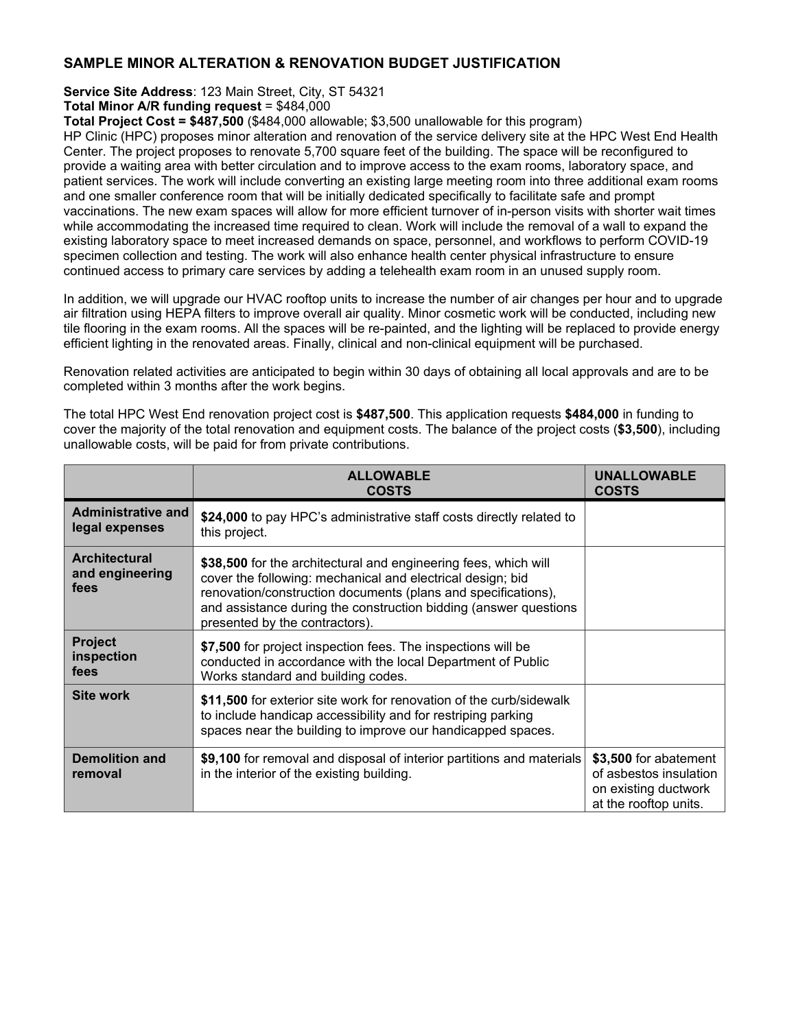## **SAMPLE MINOR ALTERATION & RENOVATION BUDGET JUSTIFICATION**

**Service Site Address**: 123 Main Street, City, ST 54321

**Total Minor A/R funding request** = \$484,000

**Total Project Cost = \$487,500** (\$484,000 allowable; \$3,500 unallowable for this program)

HP Clinic (HPC) proposes minor alteration and renovation of the service delivery site at the HPC West End Health Center. The project proposes to renovate 5,700 square feet of the building. The space will be reconfigured to provide a waiting area with better circulation and to improve access to the exam rooms, laboratory space, and patient services. The work will include converting an existing large meeting room into three additional exam rooms and one smaller conference room that will be initially dedicated specifically to facilitate safe and prompt vaccinations. The new exam spaces will allow for more efficient turnover of in-person visits with shorter wait times while accommodating the increased time required to clean. Work will include the removal of a wall to expand the existing laboratory space to meet increased demands on space, personnel, and workflows to perform COVID-19 specimen collection and testing. The work will also enhance health center physical infrastructure to ensure continued access to primary care services by adding a telehealth exam room in an unused supply room.

In addition, we will upgrade our HVAC rooftop units to increase the number of air changes per hour and to upgrade air filtration using HEPA filters to improve overall air quality. Minor cosmetic work will be conducted, including new tile flooring in the exam rooms. All the spaces will be re-painted, and the lighting will be replaced to provide energy efficient lighting in the renovated areas. Finally, clinical and non-clinical equipment will be purchased.

Renovation related activities are anticipated to begin within 30 days of obtaining all local approvals and are to be completed within 3 months after the work begins.

The total HPC West End renovation project cost is **\$487,500**. This application requests **\$484,000** in funding to cover the majority of the total renovation and equipment costs. The balance of the project costs (**\$3,500**), including unallowable costs, will be paid for from private contributions.

|                                                 | <b>ALLOWABLE</b><br><b>COSTS</b>                                                                                                                                                                                                                                                                     | <b>UNALLOWABLE</b><br><b>COSTS</b>                                                               |
|-------------------------------------------------|------------------------------------------------------------------------------------------------------------------------------------------------------------------------------------------------------------------------------------------------------------------------------------------------------|--------------------------------------------------------------------------------------------------|
| <b>Administrative and</b><br>legal expenses     | \$24,000 to pay HPC's administrative staff costs directly related to<br>this project.                                                                                                                                                                                                                |                                                                                                  |
| <b>Architectural</b><br>and engineering<br>fees | \$38,500 for the architectural and engineering fees, which will<br>cover the following: mechanical and electrical design; bid<br>renovation/construction documents (plans and specifications),<br>and assistance during the construction bidding (answer questions<br>presented by the contractors). |                                                                                                  |
| <b>Project</b><br>inspection<br>fees            | \$7,500 for project inspection fees. The inspections will be<br>conducted in accordance with the local Department of Public<br>Works standard and building codes.                                                                                                                                    |                                                                                                  |
| <b>Site work</b>                                | \$11,500 for exterior site work for renovation of the curb/sidewalk<br>to include handicap accessibility and for restriping parking<br>spaces near the building to improve our handicapped spaces.                                                                                                   |                                                                                                  |
| <b>Demolition and</b><br>removal                | \$9,100 for removal and disposal of interior partitions and materials<br>in the interior of the existing building.                                                                                                                                                                                   | \$3,500 for abatement<br>of asbestos insulation<br>on existing ductwork<br>at the rooftop units. |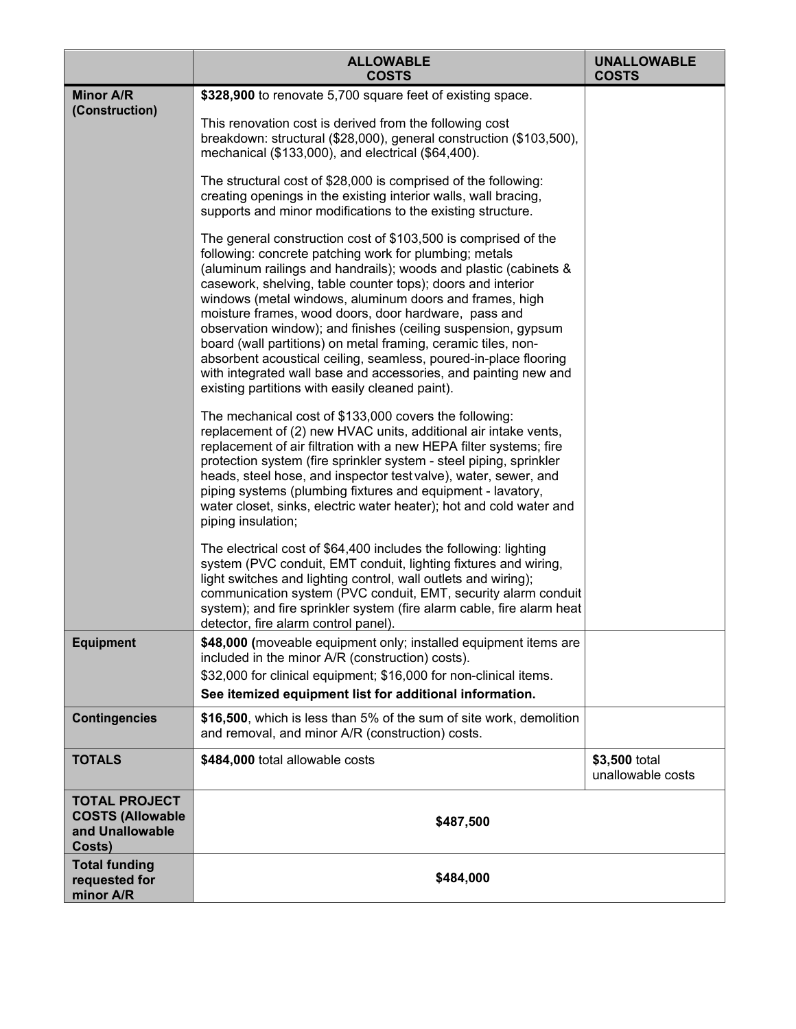|                                                                              | <b>ALLOWABLE</b><br><b>COSTS</b>                                                                                                                                                                                                                                                                                                                                                                                                                                                                                                                                                                                                                                                                           | <b>UNALLOWABLE</b><br><b>COSTS</b> |
|------------------------------------------------------------------------------|------------------------------------------------------------------------------------------------------------------------------------------------------------------------------------------------------------------------------------------------------------------------------------------------------------------------------------------------------------------------------------------------------------------------------------------------------------------------------------------------------------------------------------------------------------------------------------------------------------------------------------------------------------------------------------------------------------|------------------------------------|
| <b>Minor A/R</b><br>(Construction)                                           | \$328,900 to renovate 5,700 square feet of existing space.<br>This renovation cost is derived from the following cost<br>breakdown: structural (\$28,000), general construction (\$103,500),<br>mechanical (\$133,000), and electrical (\$64,400).                                                                                                                                                                                                                                                                                                                                                                                                                                                         |                                    |
|                                                                              | The structural cost of \$28,000 is comprised of the following:<br>creating openings in the existing interior walls, wall bracing,<br>supports and minor modifications to the existing structure.                                                                                                                                                                                                                                                                                                                                                                                                                                                                                                           |                                    |
|                                                                              | The general construction cost of \$103,500 is comprised of the<br>following: concrete patching work for plumbing; metals<br>(aluminum railings and handrails); woods and plastic (cabinets &<br>casework, shelving, table counter tops); doors and interior<br>windows (metal windows, aluminum doors and frames, high<br>moisture frames, wood doors, door hardware, pass and<br>observation window); and finishes (ceiling suspension, gypsum<br>board (wall partitions) on metal framing, ceramic tiles, non-<br>absorbent acoustical ceiling, seamless, poured-in-place flooring<br>with integrated wall base and accessories, and painting new and<br>existing partitions with easily cleaned paint). |                                    |
|                                                                              | The mechanical cost of \$133,000 covers the following:<br>replacement of (2) new HVAC units, additional air intake vents,<br>replacement of air filtration with a new HEPA filter systems; fire<br>protection system (fire sprinkler system - steel piping, sprinkler<br>heads, steel hose, and inspector test valve), water, sewer, and<br>piping systems (plumbing fixtures and equipment - lavatory,<br>water closet, sinks, electric water heater); hot and cold water and<br>piping insulation;                                                                                                                                                                                                       |                                    |
|                                                                              | The electrical cost of \$64,400 includes the following: lighting<br>system (PVC conduit, EMT conduit, lighting fixtures and wiring,<br>light switches and lighting control, wall outlets and wiring);<br>communication system (PVC conduit, EMT, security alarm conduit<br>system); and fire sprinkler system (fire alarm cable, fire alarm heat<br>detector, fire alarm control panel).                                                                                                                                                                                                                                                                                                                   |                                    |
| <b>Equipment</b>                                                             | \$48,000 (moveable equipment only; installed equipment items are<br>included in the minor A/R (construction) costs).<br>\$32,000 for clinical equipment; \$16,000 for non-clinical items.<br>See itemized equipment list for additional information.                                                                                                                                                                                                                                                                                                                                                                                                                                                       |                                    |
| <b>Contingencies</b>                                                         | \$16,500, which is less than 5% of the sum of site work, demolition<br>and removal, and minor A/R (construction) costs.                                                                                                                                                                                                                                                                                                                                                                                                                                                                                                                                                                                    |                                    |
| <b>TOTALS</b>                                                                | \$484,000 total allowable costs                                                                                                                                                                                                                                                                                                                                                                                                                                                                                                                                                                                                                                                                            | \$3,500 total<br>unallowable costs |
| <b>TOTAL PROJECT</b><br><b>COSTS (Allowable</b><br>and Unallowable<br>Costs) | \$487,500                                                                                                                                                                                                                                                                                                                                                                                                                                                                                                                                                                                                                                                                                                  |                                    |
| <b>Total funding</b><br>requested for<br>minor A/R                           | \$484,000                                                                                                                                                                                                                                                                                                                                                                                                                                                                                                                                                                                                                                                                                                  |                                    |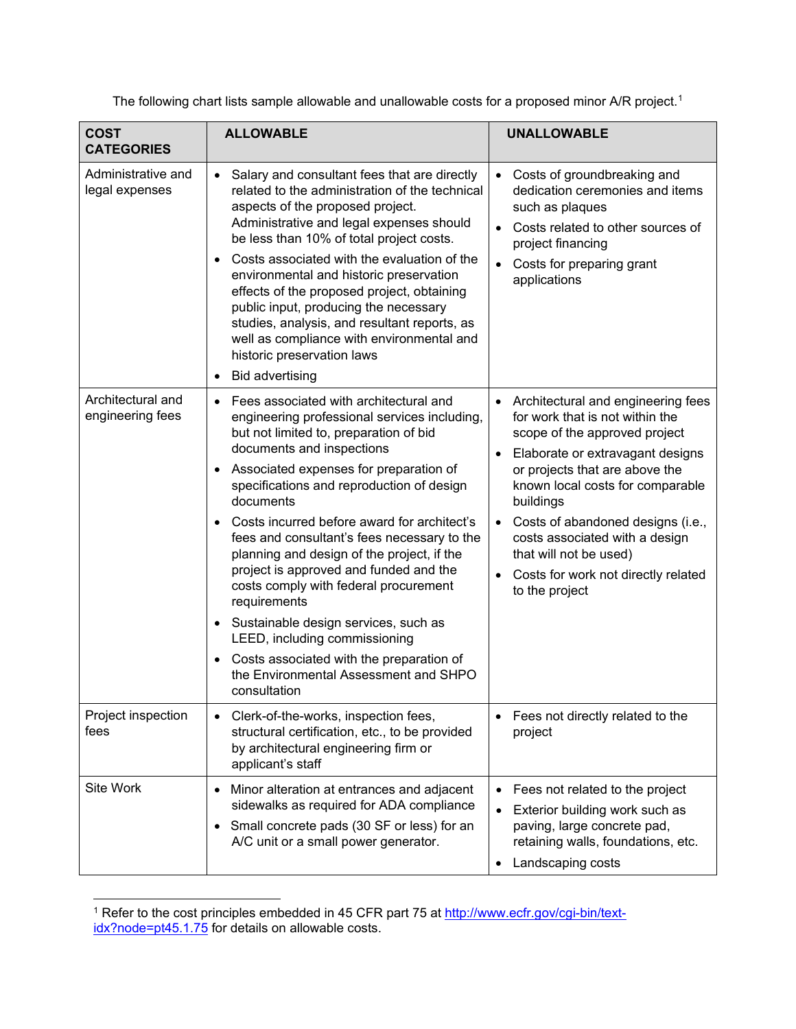The following chart lists sample allowable and unallowable costs for a proposed minor A/R project.<sup>[1](#page-2-0)</sup>

| <b>COST</b><br><b>CATEGORIES</b>      | <b>ALLOWABLE</b>                                                                                                                                                                                                                                                                                                                                                                                                                                                                                                                                                                                                                                                                                                         | <b>UNALLOWABLE</b>                                                                                                                                                                                                                                                                                                                                                                      |
|---------------------------------------|--------------------------------------------------------------------------------------------------------------------------------------------------------------------------------------------------------------------------------------------------------------------------------------------------------------------------------------------------------------------------------------------------------------------------------------------------------------------------------------------------------------------------------------------------------------------------------------------------------------------------------------------------------------------------------------------------------------------------|-----------------------------------------------------------------------------------------------------------------------------------------------------------------------------------------------------------------------------------------------------------------------------------------------------------------------------------------------------------------------------------------|
| Administrative and<br>legal expenses  | Salary and consultant fees that are directly<br>$\bullet$<br>related to the administration of the technical<br>aspects of the proposed project.<br>Administrative and legal expenses should<br>be less than 10% of total project costs.<br>Costs associated with the evaluation of the<br>$\bullet$<br>environmental and historic preservation<br>effects of the proposed project, obtaining<br>public input, producing the necessary<br>studies, analysis, and resultant reports, as<br>well as compliance with environmental and<br>historic preservation laws<br><b>Bid advertising</b><br>$\bullet$                                                                                                                  | Costs of groundbreaking and<br>dedication ceremonies and items<br>such as plaques<br>Costs related to other sources of<br>project financing<br>Costs for preparing grant<br>applications                                                                                                                                                                                                |
| Architectural and<br>engineering fees | Fees associated with architectural and<br>$\bullet$<br>engineering professional services including,<br>but not limited to, preparation of bid<br>documents and inspections<br>Associated expenses for preparation of<br>$\bullet$<br>specifications and reproduction of design<br>documents<br>Costs incurred before award for architect's<br>fees and consultant's fees necessary to the<br>planning and design of the project, if the<br>project is approved and funded and the<br>costs comply with federal procurement<br>requirements<br>Sustainable design services, such as<br>LEED, including commissioning<br>Costs associated with the preparation of<br>the Environmental Assessment and SHPO<br>consultation | Architectural and engineering fees<br>for work that is not within the<br>scope of the approved project<br>Elaborate or extravagant designs<br>or projects that are above the<br>known local costs for comparable<br>buildings<br>Costs of abandoned designs (i.e.,<br>costs associated with a design<br>that will not be used)<br>Costs for work not directly related<br>to the project |
| Project inspection<br>fees            | Clerk-of-the-works, inspection fees,<br>structural certification, etc., to be provided<br>by architectural engineering firm or<br>applicant's staff                                                                                                                                                                                                                                                                                                                                                                                                                                                                                                                                                                      | Fees not directly related to the<br>project                                                                                                                                                                                                                                                                                                                                             |
| Site Work                             | Minor alteration at entrances and adjacent<br>$\bullet$<br>sidewalks as required for ADA compliance<br>Small concrete pads (30 SF or less) for an<br>$\bullet$<br>A/C unit or a small power generator.                                                                                                                                                                                                                                                                                                                                                                                                                                                                                                                   | Fees not related to the project<br>$\bullet$<br>Exterior building work such as<br>$\bullet$<br>paving, large concrete pad,<br>retaining walls, foundations, etc.<br>Landscaping costs                                                                                                                                                                                                   |

<span id="page-2-0"></span><sup>&</sup>lt;sup>1</sup> Refer to the cost principles embedded in 45 CFR part 75 at <u>http://www.ecfr.gov/cgi-bin/text-</u> <u>[idx?node=pt45.1.75](http://www.ecfr.gov/cgi-bin/text-idx?node=pt45.1.75)</u> for details on allowable costs.  $\overline{a}$